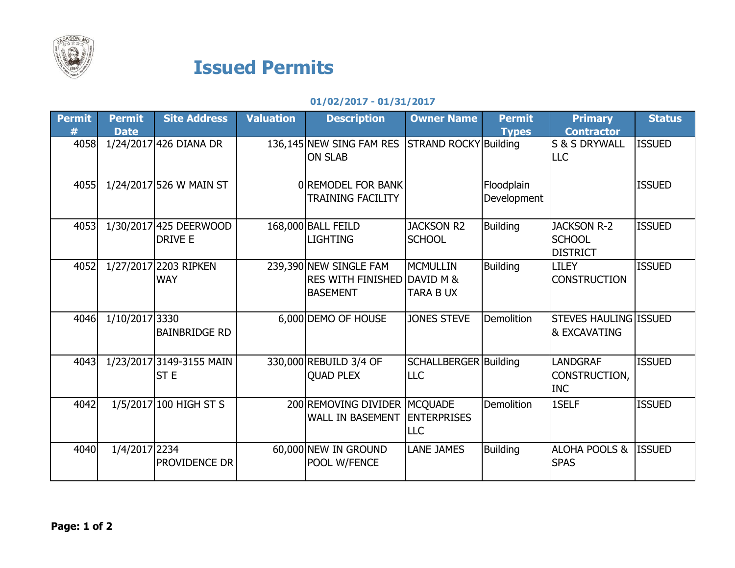

## Issued Permits

## 01/02/2017 - 01/31/2017

| <b>Permit</b> | <b>Permit</b><br><b>Date</b> | <b>Site Address</b>                         | <b>Valuation</b> | <b>Description</b>                                                                  | <b>Owner Name</b>                   | <b>Permit</b><br><b>Types</b> | <b>Primary</b><br><b>Contractor</b>                    | <b>Status</b> |
|---------------|------------------------------|---------------------------------------------|------------------|-------------------------------------------------------------------------------------|-------------------------------------|-------------------------------|--------------------------------------------------------|---------------|
| 4058          |                              | 1/24/2017 426 DIANA DR                      |                  | 136,145 NEW SING FAM RES<br><b>ON SLAB</b>                                          | <b>STRAND ROCKY Building</b>        |                               | S & S DRYWALL<br><b>LLC</b>                            | <b>ISSUED</b> |
| 4055          |                              | 1/24/2017 526 W MAIN ST                     |                  | 0 REMODEL FOR BANK<br><b>TRAINING FACILITY</b>                                      |                                     | Floodplain<br>Development     |                                                        | <b>ISSUED</b> |
| 4053          |                              | 1/30/2017 425 DEERWOOD<br><b>DRIVE E</b>    |                  | 168,000 BALL FEILD<br><b>LIGHTING</b>                                               | <b>JACKSON R2</b><br><b>SCHOOL</b>  | <b>Building</b>               | <b>JACKSON R-2</b><br><b>SCHOOL</b><br><b>DISTRICT</b> | <b>ISSUED</b> |
| 4052          |                              | 1/27/2017 2203 RIPKEN<br><b>WAY</b>         |                  | 239,390 NEW SINGLE FAM<br><b>RES WITH FINISHED DAVID M &amp;</b><br><b>BASEMENT</b> | MCMULLIN<br><b>TARA B UX</b>        | <b>Building</b>               | <b>LILEY</b><br><b>CONSTRUCTION</b>                    | <b>ISSUED</b> |
| 4046          | 1/10/2017 3330               | <b>BAINBRIDGE RD</b>                        |                  | 6,000 DEMO OF HOUSE                                                                 | <b>JONES STEVE</b>                  | <b>Demolition</b>             | STEVES HAULING ISSUED<br>& EXCAVATING                  |               |
| 4043          |                              | 1/23/2017 3149-3155 MAIN<br>ST <sub>E</sub> |                  | 330,000 REBUILD 3/4 OF<br><b>QUAD PLEX</b>                                          | SCHALLBERGER Building<br><b>LLC</b> |                               | <b>LANDGRAF</b><br>CONSTRUCTION,<br><b>INC</b>         | <b>ISSUED</b> |
| 4042          |                              | 1/5/2017 100 HIGH ST S                      |                  | 200 REMOVING DIVIDER MCQUADE<br><b>WALL IN BASEMENT</b>                             | <b>ENTERPRISES</b><br><b>LLC</b>    | <b>Demolition</b>             | 1SELF                                                  | <b>ISSUED</b> |
| 4040          | 1/4/2017 2234                | PROVIDENCE DR                               |                  | 60,000 NEW IN GROUND<br>POOL W/FENCE                                                | <b>LANE JAMES</b>                   | <b>Building</b>               | <b>ALOHA POOLS &amp;</b><br><b>SPAS</b>                | <b>ISSUED</b> |